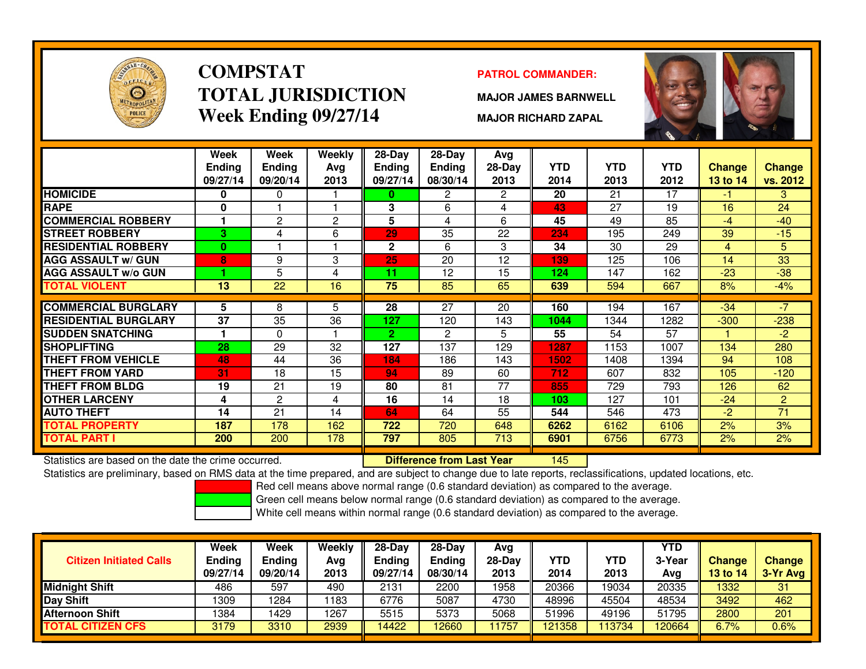

# **COMPSTATTOTAL JURISDICTIONWeek Ending 09/27/14**

### **PATROL COMMANDER:**

**MAJOR JAMES BARNWELL**

**MAJOR RICHARD ZAPAL**



|                             | Week<br>Ending | Week<br><b>Ending</b> | Weekly<br>Avg | $28$ -Day<br><b>Ending</b> | $28-Day$<br>Ending | Avg<br>28-Day | <b>YTD</b> | <b>YTD</b> | <b>YTD</b> | <b>Change</b> | <b>Change</b>  |
|-----------------------------|----------------|-----------------------|---------------|----------------------------|--------------------|---------------|------------|------------|------------|---------------|----------------|
|                             | 09/27/14       | 09/20/14              | 2013          | 09/27/14                   | 08/30/14           | 2013          | 2014       | 2013       | 2012       | 13 to 14      | vs. 2012       |
| <b>HOMICIDE</b>             | 0              | $\Omega$              |               | 0                          | 2                  | 2             | 20         | 21         | 17         | -1            | 3.             |
| <b>RAPE</b>                 | $\bf{0}$       |                       |               | 3                          | 6                  | 4             | 43         | 27         | 19         | 16            | 24             |
| <b>COMMERCIAL ROBBERY</b>   |                | 2                     | 2             | 5                          | 4                  | 6             | 45         | 49         | 85         | $-4$          | $-40$          |
| <b>ISTREET ROBBERY</b>      | 3              | 4                     | 6             | 29                         | 35                 | 22            | 234        | 195        | 249        | 39            | $-15$          |
| <b>RESIDENTIAL ROBBERY</b>  | $\mathbf{0}$   |                       |               | 2                          | 6                  | 3             | 34         | 30         | 29         | 4             | 5              |
| <b>AGG ASSAULT w/ GUN</b>   | 8              | 9                     | 3             | 25                         | 20                 | 12            | 139        | 125        | 106        | 14            | 33             |
| <b>AGG ASSAULT w/o GUN</b>  |                | 5                     | 4             | 11                         | 12                 | 15            | 124        | 147        | 162        | $-23$         | $-38$          |
| <b>TOTAL VIOLENT</b>        | 13             | 22                    | 16            | 75                         | 85                 | 65            | 639        | 594        | 667        | 8%            | $-4%$          |
|                             |                |                       |               |                            |                    |               |            |            |            |               |                |
| <b>COMMERCIAL BURGLARY</b>  | 5.             | 8                     | 5             | 28                         | 27                 | 20            | 160        | 194        | 167        | $-34$         | $-7$           |
| <b>RESIDENTIAL BURGLARY</b> | 37             | 35                    | 36            | 127                        | 120                | 143           | 1044       | 1344       | 1282       | $-300$        | $-238$         |
| <b>SUDDEN SNATCHING</b>     |                | $\mathbf{0}$          |               | $\mathbf{2}$               | 2                  | 5             | 55         | 54         | 57         |               | $-2$           |
| <b>ISHOPLIFTING</b>         | 28             | 29                    | 32            | 127                        | 137                | 129           | 1287       | 1153       | 1007       | 134           | 280            |
| <b>THEFT FROM VEHICLE</b>   | 48             | 44                    | 36            | 184                        | 186                | 143           | 1502       | 1408       | 1394       | 94            | 108            |
| <b>THEFT FROM YARD</b>      | 31             | 18                    | 15            | 94                         | 89                 | 60            | 712        | 607        | 832        | 105           | $-120$         |
| <b>THEFT FROM BLDG</b>      | 19             | 21                    | 19            | 80                         | 81                 | 77            | 855        | 729        | 793        | 126           | 62             |
| <b>OTHER LARCENY</b>        | 4              | $\overline{2}$        | 4             | 16                         | 14                 | 18            | 103        | 127        | 101        | $-24$         | $\overline{2}$ |
| <b>AUTO THEFT</b>           | 14             | 21                    | 14            | 64                         | 64                 | 55            | 544        | 546        | 473        | $-2$          | 71             |
| <b>TOTAL PROPERTY</b>       | 187            | 178                   | 162           | 722                        | 720                | 648           | 6262       | 6162       | 6106       | 2%            | 3%             |
| <b>TOTAL PART I</b>         | 200            | 200                   | 178           | 797                        | 805                | 713           | 6901       | 6756       | 6773       | 2%            | 2%             |

Statistics are based on the date the crime occurred. **Difference from Last Year** 

Statistics are based on the date the crime occurred. **Extended Lubber 1996 Statistics** are subject to change due to late reports, reclassifications, updated locations, etc.<br>Statistics are preliminary, based on RMS data at

Red cell means above normal range (0.6 standard deviation) as compared to the average.

Green cell means below normal range (0.6 standard deviation) as compared to the average.

| <b>Citizen Initiated Calls</b> | Week<br>Ending<br>09/27/14 | <b>Week</b><br><b>Ending</b><br>09/20/14 | Weekly<br>Avg<br>2013 | $28-Dav$<br><b>Ending</b><br>09/27/14 | $28-Dav$<br><b>Ending</b><br>08/30/14 | Ava<br>$28-Dav$<br>2013 | YTD<br>2014 | YTD<br>2013 | <b>YTD</b><br>3-Yea<br>Avg | <b>Change</b><br>13 to 14 | <b>Change</b><br>3-Yr Avg |
|--------------------------------|----------------------------|------------------------------------------|-----------------------|---------------------------------------|---------------------------------------|-------------------------|-------------|-------------|----------------------------|---------------------------|---------------------------|
| <b>Midnight Shift</b>          | 486                        | 597                                      | 490                   | 2131                                  | 2200                                  | 1958                    | 20366       | 19034       | 20335                      | 1332                      | 31                        |
| <b>Day Shift</b>               | 1309                       | 1284                                     | 1183                  | 6776                                  | 5087                                  | 4730                    | 48996       | 45504       | 48534                      | 3492                      | 462                       |
| <b>Afternoon Shift</b>         | 1384                       | 1429                                     | 1267                  | 5515                                  | 5373                                  | 5068                    | 51996       | 49196       | 51795                      | 2800                      | 201                       |
| <b>TOTAL CITIZEN CFS</b>       | 3179                       | 3310                                     | 2939                  | 14422                                 | 2660                                  | 1757                    | 121358      | 13734       | 20664                      | 6.7%                      | $0.6\%$                   |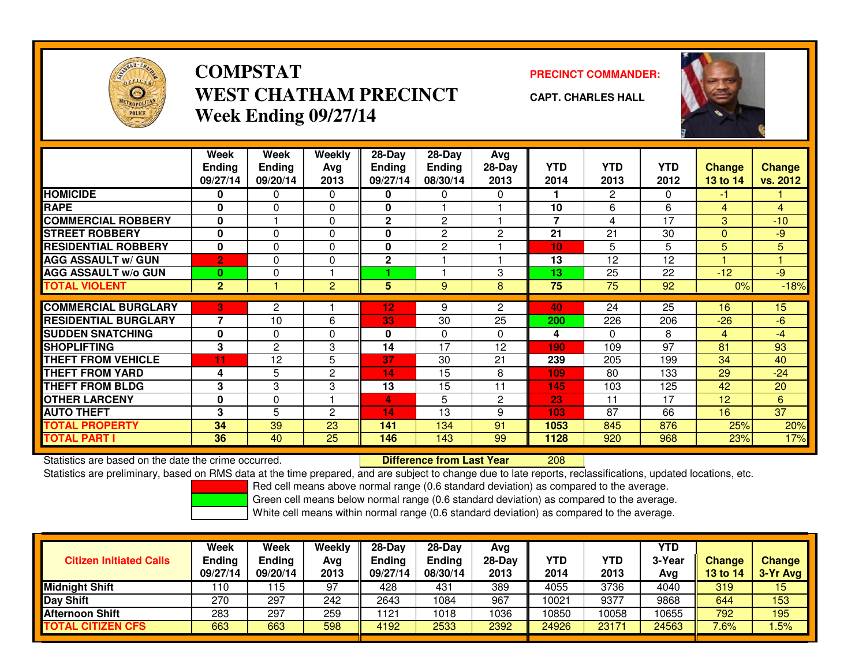

# **COMPSTATWEST CHATHAM PRECINCTWeek Ending 09/27/14**

**PRECINCT COMMANDER:**



**CAPT. CHARLES HALL**

|                             | Week<br><b>Ending</b><br>09/27/14 | Week<br><b>Ending</b><br>09/20/14 | Weekly<br>Avg<br>2013 | $28$ -Day<br><b>Ending</b><br>09/27/14 | 28-Day<br><b>Ending</b><br>08/30/14 | Avg<br>$28-Day$<br>2013 | <b>YTD</b><br>2014 | <b>YTD</b><br>2013 | YTD<br>2012 | <b>Change</b><br>13 to 14 | <b>Change</b><br>vs. 2012 |
|-----------------------------|-----------------------------------|-----------------------------------|-----------------------|----------------------------------------|-------------------------------------|-------------------------|--------------------|--------------------|-------------|---------------------------|---------------------------|
| <b>HOMICIDE</b>             | 0                                 | $\mathbf{0}$                      | 0                     | 0                                      | $\Omega$                            | $\Omega$                |                    | 2                  | 0           | -1                        |                           |
| <b>RAPE</b>                 | 0                                 | 0                                 | 0                     | $\bf{0}$                               |                                     |                         | 10                 | 6                  | 6           | 4                         | 4                         |
| <b>COMMERCIAL ROBBERY</b>   | $\bf{0}$                          |                                   | $\Omega$              | $\mathbf{2}$                           | 2                                   |                         | 7                  | 4                  | 17          | 3                         | $-10$                     |
| <b>STREET ROBBERY</b>       | $\bf{0}$                          | $\Omega$                          | $\Omega$              | $\bf{0}$                               | $\overline{2}$                      | 2                       | 21                 | 21                 | 30          | $\Omega$                  | $-9$                      |
| <b>RESIDENTIAL ROBBERY</b>  | $\bf{0}$                          | $\Omega$                          | $\Omega$              | $\bf{0}$                               | 2                                   |                         | 10                 | 5                  | 5           | 5                         | 5                         |
| <b>AGG ASSAULT w/ GUN</b>   | $\overline{2}$                    | $\Omega$                          | $\Omega$              | $\mathbf{2}$                           |                                     |                         | 13                 | 12                 | 12          |                           |                           |
| <b>AGG ASSAULT w/o GUN</b>  | $\bf{0}$                          | 0                                 |                       |                                        |                                     | 3                       | 13                 | 25                 | 22          | $-12$                     | $-9$                      |
| <b>TOTAL VIOLENT</b>        | $\overline{2}$                    |                                   | $\overline{2}$        | 5                                      | 9                                   | 8                       | $\overline{75}$    | $\overline{75}$    | 92          | 0%                        | $-18%$                    |
|                             |                                   |                                   |                       |                                        |                                     |                         |                    |                    |             |                           |                           |
| <b>COMMERCIAL BURGLARY</b>  | 3                                 | 2                                 |                       | 12                                     | 9                                   | 2                       | 40                 | 24                 | 25          | 16                        | 15                        |
| <b>RESIDENTIAL BURGLARY</b> | $\overline{\phantom{a}}$          | 10                                | 6                     | 33                                     | 30                                  | 25                      | 200                | 226                | 206         | $-26$                     | $-6$                      |
| <b>SUDDEN SNATCHING</b>     | 0                                 | $\Omega$                          | 0                     | $\bf{0}$                               | 0                                   | 0                       | 4                  | 0                  | 8           | 4                         | -4                        |
| <b>SHOPLIFTING</b>          | 3                                 | 2                                 | 3                     | 14                                     | 17                                  | 12                      | 190                | 109                | 97          | 81                        | 93                        |
| <b>THEFT FROM VEHICLE</b>   | 11                                | 12                                | 5                     | 37                                     | 30                                  | 21                      | 239                | 205                | 199         | 34                        | 40                        |
| <b>THEFT FROM YARD</b>      | 4                                 | 5                                 | $\overline{c}$        | 14                                     | 15                                  | 8                       | 109                | 80                 | 133         | 29                        | $-24$                     |
| <b>THEFT FROM BLDG</b>      | 3                                 | 3                                 | 3                     | 13                                     | 15                                  | 11                      | 145                | 103                | 125         | 42                        | 20                        |
| <b>OTHER LARCENY</b>        | 0                                 | 0                                 |                       | 4                                      | 5                                   | $\overline{2}$          | 23                 | 11                 | 17          | 12                        | 6                         |
| <b>AUTO THEFT</b>           | 3                                 | 5                                 | $\mathbf{2}$          | 14                                     | 13                                  | 9                       | 103                | 87                 | 66          | 16                        | 37                        |
| <b>TOTAL PROPERTY</b>       | 34                                | 39                                | 23                    | 141                                    | 134                                 | 91                      | 1053               | 845                | 876         | 25%                       | 20%                       |
| TOTAL PART I                | 36                                | 40                                | 25                    | 146                                    | 143                                 | 99                      | 1128               | 920                | 968         | 23%                       | 17%                       |

Statistics are based on the date the crime occurred. **Difference from Last Year** 

Statistics are based on the date the crime occurred. **Externee the Luid Confference from Last Year The 208 Lui**<br>Statistics are preliminary, based on RMS data at the time prepared, and are subject to change due to late repo

Red cell means above normal range (0.6 standard deviation) as compared to the average.

Green cell means below normal range (0.6 standard deviation) as compared to the average.

| <b>Citizen Initiated Calls</b> | Week<br><b>Ending</b><br>09/27/14 | Week<br><b>Ending</b><br>09/20/14 | Weekly<br>Avg<br>2013 | $28-Day$<br>Ending<br>09/27/14 | $28-Dav$<br><b>Ending</b><br>08/30/14 | Avg<br>$28-Dav$<br>2013 | YTD<br>2014 | <b>YTD</b><br>2013 | <b>YTD</b><br>3-Year<br>Avg | <b>Change</b><br><b>13 to 14</b> | <b>Change</b><br>3-Yr Avg |
|--------------------------------|-----------------------------------|-----------------------------------|-----------------------|--------------------------------|---------------------------------------|-------------------------|-------------|--------------------|-----------------------------|----------------------------------|---------------------------|
| <b>Midnight Shift</b>          | 110                               | 115                               | 97                    | 428                            | 431                                   | 389                     | 4055        | 3736               | 4040                        | 319                              | 15                        |
| Day Shift                      | 270                               | 297                               | 242                   | 2643                           | 1084                                  | 967                     | 10021       | 9377               | 9868                        | 644                              | 153                       |
| <b>Afternoon Shift</b>         | 283                               | 297                               | 259                   | 121                            | 1018                                  | 1036                    | 10850       | 10058              | 0655                        | 792                              | 195                       |
| <b>TOTAL CITIZEN CFS</b>       | 663                               | 663                               | 598                   | 4192                           | 2533                                  | 2392                    | 24926       | 23171              | 24563                       | 7.6%                             | .5%                       |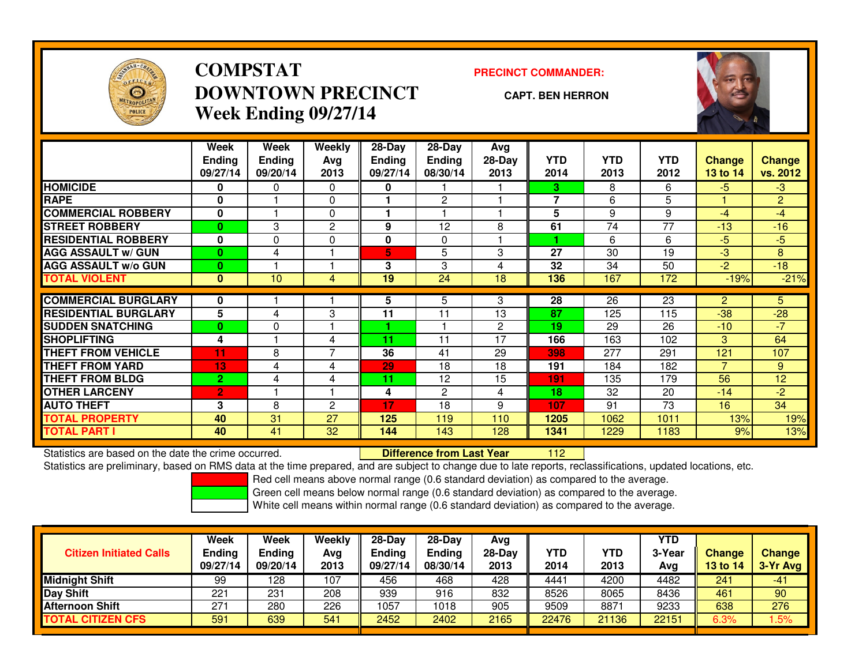

## **COMPSTATDOWNTOWN PRECINCTWeek Ending 09/27/14**

### **PRECINCT COMMANDER:**

### **CAPT. BEN HERRON**

<sup>112</sup>



|                             | Week           | Week          | Weekly         | $28$ -Day     | $28 - Day$     | Avg            |            |            |            |                |                |
|-----------------------------|----------------|---------------|----------------|---------------|----------------|----------------|------------|------------|------------|----------------|----------------|
|                             | <b>Ending</b>  | <b>Ending</b> | Avg            | <b>Ending</b> | Ending         | 28-Day         | <b>YTD</b> | <b>YTD</b> | <b>YTD</b> | Change         | <b>Change</b>  |
|                             | 09/27/14       | 09/20/14      | 2013           | 09/27/14      | 08/30/14       | 2013           | 2014       | 2013       | 2012       | 13 to 14       | vs. 2012       |
| <b>HOMICIDE</b>             | 0              | $\mathbf{0}$  | 0              | 0             |                |                | 3.         | 8          | 6          | $-5$           | $-3$           |
| <b>RAPE</b>                 | $\bf{0}$       |               | 0              |               | $\overline{2}$ |                | 7          | 6          | 5          |                | $\overline{2}$ |
| <b>COMMERCIAL ROBBERY</b>   | 0              |               | 0              |               |                |                | 5          | 9          | 9          | $-4$           | $-4$           |
| <b>STREET ROBBERY</b>       | $\bf{0}$       | 3             | $\mathbf{2}$   | 9             | 12             | 8              | 61         | 74         | 77         | $-13$          | $-16$          |
| <b>RESIDENTIAL ROBBERY</b>  | 0              | $\Omega$      | 0              | 0             | $\Omega$       |                |            | 6          | 6          | $-5$           | $-5$           |
| <b>AGG ASSAULT w/ GUN</b>   | $\bf{0}$       | 4             |                | 5             | 5              | 3              | 27         | 30         | 19         | $-3$           | 8              |
| <b>AGG ASSAULT w/o GUN</b>  | $\bf{0}$       |               |                | 3             | 3              | 4              | 32         | 34         | 50         | $-2$           | $-18$          |
| <b>TOTAL VIOLENT</b>        | $\bf{0}$       | 10            | 4              | 19            | 24             | 18             | 136        | 167        | 172        | $-19%$         | $-21%$         |
| <b>COMMERCIAL BURGLARY</b>  | 0              |               |                | 5             | 5.             | 3              | 28         | 26         | 23         | $\overline{2}$ | 5.             |
| <b>RESIDENTIAL BURGLARY</b> | 5              | 4             | 3              | 11            | 11             | 13             | 87         | 125        | 115        | $-38$          | $-28$          |
| <b>SUDDEN SNATCHING</b>     | $\bf{0}$       | $\Omega$      |                |               |                | $\overline{2}$ | 19         | 29         | 26         | $-10$          | $-7$           |
| <b>SHOPLIFTING</b>          | 4              |               | 4              | 11            | 11             | 17             | 166        | 163        | 102        | 3              | 64             |
| <b>THEFT FROM VEHICLE</b>   | 11             | 8             | 7              | 36            | 41             | 29             | 398        | 277        | 291        | 121            | 107            |
| <b>THEFT FROM YARD</b>      | 13             | 4             | 4              | 29            | 18             | 18             | 191        | 184        | 182        | $\overline{7}$ | 9              |
| <b>THEFT FROM BLDG</b>      | $\overline{2}$ | 4             | 4              | 11            | 12             | 15             | 191        | 135        | 179        | 56             | 12             |
| <b>OTHER LARCENY</b>        | $\overline{2}$ |               |                | 4             | $\overline{2}$ | 4              | 18         | 32         | 20         | $-14$          | $-2$           |
| <b>AUTO THEFT</b>           | 3              | 8             | $\overline{c}$ | 17            | 18             | 9              | 107        | 91         | 73         | 16             | 34             |
| <b>TOTAL PROPERTY</b>       | 40             | 31            | 27             | 125           | 119            | 110            | 1205       | 1062       | 1011       | 13%            | 19%            |
| <b>TOTAL PART I</b>         | 40             | 41            | 32             | 144           | 143            | 128            | 1341       | 1229       | 1183       | 9%             | 13%            |

Statistics are based on the date the crime occurred. **Difference from Last Year** 

Statistics are preliminary, based on RMS data at the time prepared, and are subject to change due to late reports, reclassifications, updated locations, etc.

Red cell means above normal range (0.6 standard deviation) as compared to the average.

Green cell means below normal range (0.6 standard deviation) as compared to the average.

| <b>Citizen Initiated Calls</b> | <b>Week</b><br><b>Ending</b><br>09/27/14 | Week<br>Ending<br>09/20/14 | Weekly<br>Avg<br>2013 | $28-Dav$<br><b>Endina</b><br>09/27/14 | $28-Dav$<br><b>Endina</b><br>08/30/14 | Avg<br>$28-Day$<br>2013 | <b>YTD</b><br>2014 | <b>YTD</b><br>2013 | <b>YTD</b><br>3-Year<br>Avg | <b>Change</b><br>13 to 14 | <b>Change</b><br>$3-Yr$ Avg |
|--------------------------------|------------------------------------------|----------------------------|-----------------------|---------------------------------------|---------------------------------------|-------------------------|--------------------|--------------------|-----------------------------|---------------------------|-----------------------------|
| <b>Midnight Shift</b>          | 99                                       | 128                        | 107                   | 456                                   | 468                                   | 428                     | 4441               | 4200               | 4482                        | 241                       | -41                         |
| <b>Day Shift</b>               | 221                                      | 231                        | 208                   | 939                                   | 916                                   | 832                     | 8526               | 8065               | 8436                        | 461                       | 90                          |
| <b>Afternoon Shift</b>         | 271                                      | 280                        | 226                   | 1057                                  | 1018                                  | 905                     | 9509               | 8871               | 9233                        | 638                       | 276                         |
| <b>TOTAL CITIZEN CFS</b>       | 591                                      | 639                        | 541                   | 2452                                  | 2402                                  | 2165                    | 22476              | 21136              | 22151                       | 6.3%                      | .5%                         |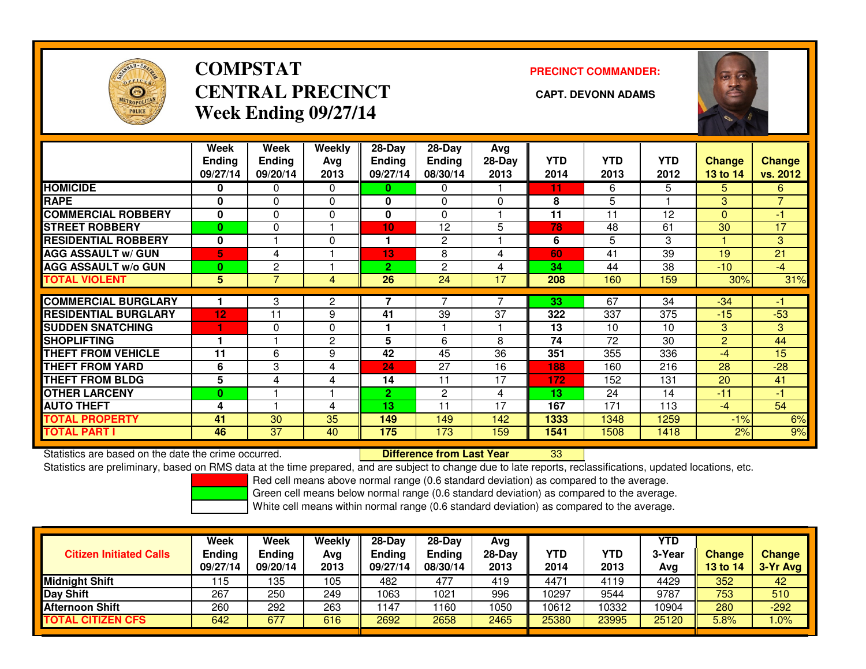

## **COMPSTATCENTRAL PRECINCT CAPT. DEVONN ADAMSWeek Ending 09/27/14**

**PRECINCT COMMANDER:**



|                             | Week          | Week          | <b>Weekly</b>  | $28$ -Day      | $28$ -Day      | Avg                      |            |            |            |                |                |
|-----------------------------|---------------|---------------|----------------|----------------|----------------|--------------------------|------------|------------|------------|----------------|----------------|
|                             | <b>Ending</b> | <b>Ending</b> | Avg            | <b>Ending</b>  | <b>Ending</b>  | $28-Day$                 | <b>YTD</b> | <b>YTD</b> | <b>YTD</b> | Change         | <b>Change</b>  |
|                             | 09/27/14      | 09/20/14      | 2013           | 09/27/14       | 08/30/14       | 2013                     | 2014       | 2013       | 2012       | 13 to 14       | vs. 2012       |
| <b>HOMICIDE</b>             | 0             | 0             | $\Omega$       | 0              | 0              |                          | 11         | 6          | 5.         | 5.             | 6              |
| <b>RAPE</b>                 | 0             | 0             | $\Omega$       | 0              | $\Omega$       | 0                        | 8          | 5          |            | 3              | $\overline{7}$ |
| <b>COMMERCIAL ROBBERY</b>   | $\bf{0}$      | $\Omega$      | 0              | 0              | $\Omega$       |                          | 11         | 11         | 12         | $\Omega$       | -1             |
| <b>STREET ROBBERY</b>       | $\bf{0}$      | 0             |                | 10             | 12             | 5                        | 78         | 48         | 61         | 30             | 17             |
| <b>RESIDENTIAL ROBBERY</b>  | 0             |               | $\Omega$       | 1              | 2              |                          | 6          | 5.         | 3          |                | 3 <sup>1</sup> |
| <b>AGG ASSAULT w/ GUN</b>   | 5             | 4             |                | 13             | 8              | 4                        | 60         | 41         | 39         | 19             | 21             |
| <b>AGG ASSAULT w/o GUN</b>  | $\bf{0}$      | 2             |                | $\overline{2}$ | $\overline{c}$ | 4                        | 34         | 44         | 38         | $-10^{-1}$     | $-4$           |
| <b>TOTAL VIOLENT</b>        | 5             | 7             | 4              | 26             | 24             | 17                       | 208        | 160        | 159        | 30%            | 31%            |
|                             |               |               |                | 7              | $\overline{ }$ | $\overline{\phantom{a}}$ |            |            |            |                |                |
| <b>COMMERCIAL BURGLARY</b>  |               | 3             | 2              |                |                |                          | 33         | 67         | 34         | $-34$          | -1             |
| <b>RESIDENTIAL BURGLARY</b> | 12            | 11            | 9              | 41             | 39             | 37                       | 322        | 337        | 375        | $-15$          | $-53$          |
| <b>SUDDEN SNATCHING</b>     |               | $\Omega$      | $\Omega$       |                |                |                          | 13         | 10         | 10         | 3              | 3              |
| <b>SHOPLIFTING</b>          |               |               | $\overline{c}$ | 5              | 6              | 8                        | 74         | 72         | 30         | $\overline{2}$ | 44             |
| <b>THEFT FROM VEHICLE</b>   | 11            | 6             | 9              | 42             | 45             | 36                       | 351        | 355        | 336        | $-4$           | 15             |
| <b>THEFT FROM YARD</b>      | 6             | 3             | 4              | 24             | 27             | 16                       | 188        | 160        | 216        | 28             | $-28$          |
| <b>THEFT FROM BLDG</b>      | 5             | 4             | 4              | 14             | 11             | 17                       | 172        | 152        | 131        | 20             | 41             |
| <b>OTHER LARCENY</b>        | 0             |               |                | $\mathbf{2}$   | $\overline{c}$ | 4                        | 13         | 24         | 14         | $-11$          | -1             |
| <b>AUTO THEFT</b>           | 4             |               | 4              | 13             | 11             | 17                       | 167        | 171        | 113        | $-4$           | 54             |
| <b>TOTAL PROPERTY</b>       | 41            | 30            | 35             | 149            | 149            | 142                      | 1333       | 1348       | 1259       | $-1%$          | 6%             |
| <b>TOTAL PART I</b>         | 46            | 37            | 40             | 175            | 173            | 159                      | 1541       | 1508       | 1418       | 2%             | 9%             |

Statistics are based on the date the crime occurred. **Difference from Last Year** 

Statistics are based on the date the crime occurred. **Difference from Last Year Net archicle Statistics** are based on the date trime occurred.<br>Statistics are preliminary, based on RMS data at the time prepared, and are sub

Red cell means above normal range (0.6 standard deviation) as compared to the average.

Green cell means below normal range (0.6 standard deviation) as compared to the average.

| <b>Citizen Initiated Calls</b> | <b>Week</b><br><b>Ending</b><br>09/27/14 | <b>Week</b><br>Endina<br>09/20/14 | Weeklv<br>Avg<br>2013 | $28-Day$<br><b>Ending</b><br>09/27/14 | $28$ -Dav<br>Ending<br>08/30/14 | Avg<br>28-Dav<br>2013 | YTD<br>2014 | <b>YTD</b><br>2013 | YTD<br>3-Year<br>Avg | <b>Change</b><br><b>13 to 14</b> | <b>Change</b><br>3-Yr Avg |
|--------------------------------|------------------------------------------|-----------------------------------|-----------------------|---------------------------------------|---------------------------------|-----------------------|-------------|--------------------|----------------------|----------------------------------|---------------------------|
| Midnight Shift                 | 115                                      | 135                               | 105                   | 482                                   | 477                             | 419                   | 4471        | 4119               | 4429                 | 352                              | 42                        |
| Day Shift                      | 267                                      | 250                               | 249                   | 1063                                  | 1021                            | 996                   | 10297       | 9544               | 9787                 | 753                              | 510                       |
| <b>Afternoon Shift</b>         | 260                                      | 292                               | 263                   | 147                                   | 1160                            | 050                   | 10612       | 10332              | 10904                | 280                              | $-292$                    |
| TOTAL CITIZEN CFS              | 642                                      | 677                               | 616                   | 2692                                  | 2658                            | 2465                  | 25380       | 23995              | 25120                | 5.8%                             | .0%                       |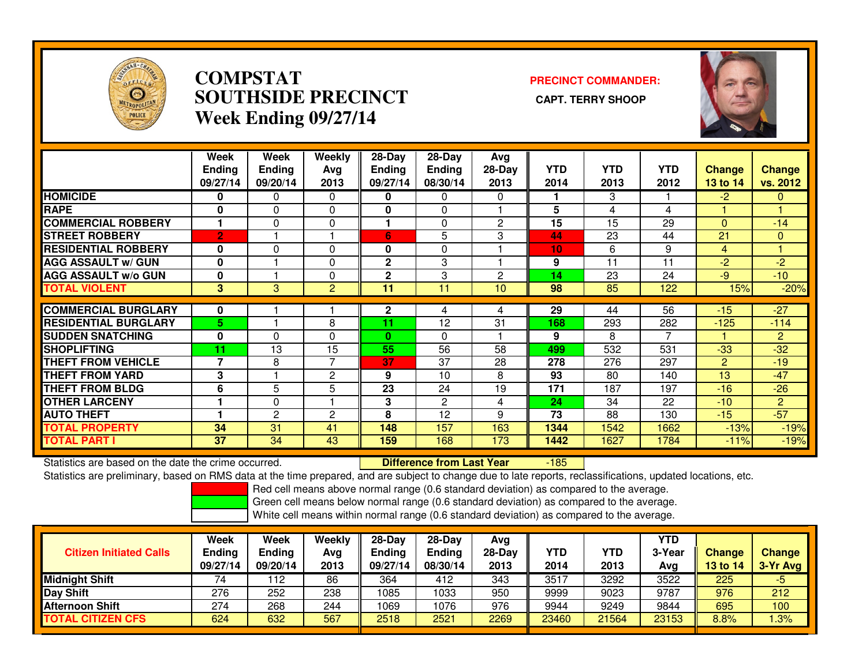

### **COMPSTAT PRECINCT COMMANDER: SOUTHSIDE PRECINCT CAPT. TERRY SHOOPWeek Ending 09/27/14**



|                             | Week<br><b>Ending</b><br>09/27/14 | Week<br><b>Ending</b><br>09/20/14 | <b>Weekly</b><br>Avg<br>2013 | $28$ -Day<br><b>Ending</b><br>09/27/14 | $28-Day$<br><b>Ending</b><br>08/30/14 | Avg<br>$28-Day$<br>2013 | <b>YTD</b><br>2014 | <b>YTD</b><br>2013 | <b>YTD</b><br>2012 | <b>Change</b><br>13 to 14 | <b>Change</b><br>vs. 2012 |
|-----------------------------|-----------------------------------|-----------------------------------|------------------------------|----------------------------------------|---------------------------------------|-------------------------|--------------------|--------------------|--------------------|---------------------------|---------------------------|
| <b>HOMICIDE</b>             | 0                                 | 0                                 | $\Omega$                     | 0                                      | 0                                     | $\Omega$                |                    | 3                  |                    | $-2$                      | 0                         |
| <b>RAPE</b>                 | 0                                 | 0                                 | 0                            | $\bf{0}$                               | 0                                     |                         | 5                  | 4                  | 4                  |                           |                           |
| <b>COMMERCIAL ROBBERY</b>   |                                   | 0                                 | 0                            |                                        | 0                                     | 2                       | 15                 | 15                 | 29                 | $\Omega$                  | $-14$                     |
| <b>STREET ROBBERY</b>       | $\overline{2}$                    |                                   |                              | 6                                      | 5                                     | 3                       | 44                 | 23                 | 44                 | 21                        | 0                         |
| <b>RESIDENTIAL ROBBERY</b>  | 0                                 | 0                                 | 0                            | 0                                      | 0                                     |                         | 10                 | 6                  | 9                  | 4                         |                           |
| <b>AGG ASSAULT w/ GUN</b>   | $\mathbf 0$                       |                                   | $\Omega$                     | $\mathbf{2}$                           | 3                                     |                         | 9                  | 11                 | 11                 | $-2$                      | $-2$                      |
| <b>AGG ASSAULT w/o GUN</b>  | $\mathbf 0$                       |                                   | 0                            | $\mathbf{2}$                           | 3                                     | $\overline{c}$          | 14                 | 23                 | 24                 | $-9$                      | $-10$                     |
| <b>TOTAL VIOLENT</b>        | 3                                 | $\mathbf{3}$                      | $\overline{2}$               | 11                                     | 11                                    | 10                      | 98                 | 85                 | 122                | 15%                       | $-20%$                    |
| <b>COMMERCIAL BURGLARY</b>  | $\mathbf 0$                       |                                   |                              | $\mathbf{2}$                           | 4                                     | 4                       | 29                 | 44                 | 56                 | $-15$                     | $-27$                     |
| <b>RESIDENTIAL BURGLARY</b> | 5                                 |                                   | 8                            | 11                                     | 12                                    | 31                      | 168                | 293                | 282                | $-125$                    | $-114$                    |
| <b>SUDDEN SNATCHING</b>     | $\mathbf 0$                       | 0                                 | $\Omega$                     | $\mathbf{0}$                           | 0                                     |                         | 9                  | 8                  | 7                  |                           | $\overline{2}$            |
| <b>SHOPLIFTING</b>          | 11                                | 13                                | 15                           | 55                                     | 56                                    | 58                      | 499                | 532                | 531                | $-33$                     | $-32$                     |
| <b>THEFT FROM VEHICLE</b>   | 7                                 | 8                                 | $\overline{7}$               | 37                                     | 37                                    | 28                      | 278                | 276                | 297                | $\overline{2}$            | $-19$                     |
| <b>THEFT FROM YARD</b>      | 3                                 |                                   | $\overline{2}$               | 9                                      | 10                                    | 8                       | 93                 | 80                 | 140                | 13                        | $-47$                     |
| <b>THEFT FROM BLDG</b>      | 6                                 | 5                                 | 5                            | 23                                     | 24                                    | 19                      | 171                | 187                | 197                | $-16$                     | $-26$                     |
| <b>OTHER LARCENY</b>        |                                   | 0                                 |                              | 3                                      | 2                                     | 4                       | 24                 | 34                 | 22                 | $-10$                     | $\overline{2}$            |
| <b>AUTO THEFT</b>           |                                   | $\overline{2}$                    | $\overline{2}$               | 8                                      | 12                                    | 9                       | 73                 | 88                 | 130                | $-15$                     | $-57$                     |
| <b>TOTAL PROPERTY</b>       | 34                                | 31                                | 41                           | 148                                    | 157                                   | 163                     | 1344               | 1542               | 1662               | $-13%$                    | $-19%$                    |
| <b>TOTAL PART I</b>         | 37                                | 34                                | 43                           | 159                                    | 168                                   | 173                     | 1442               | 1627               | 1784               | $-11%$                    | $-19%$                    |

Statistics are based on the date the crime occurred. **Difference from Last Year** 

-185

Statistics are preliminary, based on RMS data at the time prepared, and are subject to change due to late reports, reclassifications, updated locations, etc.

Red cell means above normal range (0.6 standard deviation) as compared to the average.

Green cell means below normal range (0.6 standard deviation) as compared to the average.

| <b>Citizen Initiated Calls</b> | <b>Week</b><br><b>Ending</b><br>09/27/14 | Week<br><b>Ending</b><br>09/20/14 | Weekly<br>Avg<br>2013 | $28-Day$<br><b>Ending</b><br>09/27/14 | $28-Dav$<br><b>Ending</b><br>08/30/14 | Avg<br>28-Day<br>2013 | YTD<br>2014 | YTD<br>2013 | YTD<br>3-Year<br>Avg | <b>Change</b><br>13 to 14 | Change<br>3-Yr Avg |
|--------------------------------|------------------------------------------|-----------------------------------|-----------------------|---------------------------------------|---------------------------------------|-----------------------|-------------|-------------|----------------------|---------------------------|--------------------|
| <b>Midnight Shift</b>          | 74                                       | 12                                | 86                    | 364                                   | 412                                   | 343                   | 3517        | 3292        | 3522                 | 225                       | -5                 |
| Day Shift                      | 276                                      | 252                               | 238                   | 1085                                  | 1033                                  | 950                   | 9999        | 9023        | 9787                 | 976                       | 212                |
| <b>Afternoon Shift</b>         | 274                                      | 268                               | 244                   | 1069                                  | 1076                                  | 976                   | 9944        | 9249        | 9844                 | 695                       | 100                |
| <b>TOTAL CITIZEN CFS</b>       | 624                                      | 632                               | 567                   | 2518                                  | 2521                                  | 2269                  | 23460       | 21564       | 23153                | 8.8%                      | .3%                |